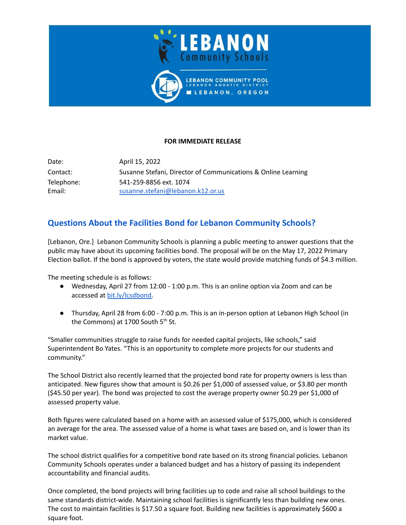

## **FOR IMMEDIATE RELEASE**

Date: April 15, 2022 Contact: Susanne Stefani, Director of Communications & Online Learning Telephone: 541-259-8856 ext. 1074 Email: [susanne.stefani@lebanon.k12.or.us](mailto:susanne.stefani@lebanon.k12.or.us)

## **Questions About the Facilities Bond for Lebanon Community Schools?**

[Lebanon, Ore.] Lebanon Community Schools is planning a public meeting to answer questions that the public may have about its upcoming facilities bond. The proposal will be on the May 17, 2022 Primary Election ballot. If the bond is approved by voters, the state would provide matching funds of \$4.3 million.

The meeting schedule is as follows:

- Wednesday, April 27 from 12:00 1:00 p.m. This is an online option via Zoom and can be accessed at [bit.ly/lcsdbond.](http://www.bit.ly/lcsdbond)
- Thursday, April 28 from 6:00 7:00 p.m. This is an in-person option at Lebanon High School (in the Commons) at 1700 South 5<sup>th</sup> St.

"Smaller communities struggle to raise funds for needed capital projects, like schools," said Superintendent Bo Yates. "This is an opportunity to complete more projects for our students and community."

The School District also recently learned that the projected bond rate for property owners is less than anticipated. New figures show that amount is \$0.26 per \$1,000 of assessed value, or \$3.80 per month (\$45.50 per year). The bond was projected to cost the average property owner \$0.29 per \$1,000 of assessed property value.

Both figures were calculated based on a home with an assessed value of \$175,000, which is considered an average for the area. The assessed value of a home is what taxes are based on, and is lower than its market value.

The school district qualifies for a competitive bond rate based on its strong financial policies. Lebanon Community Schools operates under a balanced budget and has a history of passing its independent accountability and financial audits.

Once completed, the bond projects will bring facilities up to code and raise all school buildings to the same standards district-wide. Maintaining school facilities is significantly less than building new ones. The cost to maintain facilities is \$17.50 a square foot. Building new facilities is approximately \$600 a square foot.